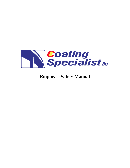

# **Employee Safety Manual**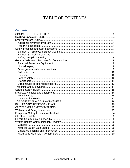## TABLE OF CONTENTS

#### **Contents**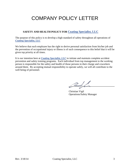# COMPANY POLICY LETTER

#### **SAFETY AND HEALTH POLICY FOR Coating Specialist, LLC**

The purpose of this policy is to develop a high standard of safety throughout all operations of *Coating Specialist, LLC*

We believe that each employee has the right to derive personal satisfaction from his/her job and the prevention of occupational injury or illness is of such consequence to this belief that it will be given top priority at all times.

It is our intention here at *Coating Specialist, LLC* to initiate and maintain complete accident prevention and safety training programs. Each individual from top management to the working person is responsible for the safety and health of those persons in their charge and coworkers around them. By accepting mutual responsibility to operate safely, we will all contribute to the well being of personnel.

 $\frac{1}{2}$ 

Christian Vigil Operations/Safety Manager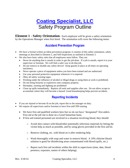# **Coating Specialist, LLC** Safety Program Outline

**Element 1 - Safety Orientation:** Each employee will be given a safety orientation by the Operations Manager when first hired. The orientation will cover the following items:

### **Accident Prevention Program**

- We have a formal written accident prevention program; it consists of this safety orientation, safety meetings as described in Element 2, and Self-inspections as outlined in Element 3.
- We also have basic safety rules that all employees must follow. They are:
	- Never do anything that is unsafe in order to get the job done. If a job is unsafe, report it to your supervisor or foreman. We will find a safer way to do that job.
	- Do not remove or disable any safety device! Keep guards in place at all times on operating machinery.
	- Never operate a piece of equipment unless you have been trained and are authorized.
	- Use your personal protective equipment whenever it is required.
	- Obey all safety warning signs.
	- Working under the influence of alcohol or illegal drugs or using them at work is prohibited.
	- Do not bring firearms or explosives onto company property.
	- Horseplay, running and fighting are prohibited
	- Clean up spills immediately. Replace all tools and supplies after use. Do not allow scraps to accumulate where they will become a hazard. Good housekeeping helps prevent accidents.

### **Reporting Incidents**

- If you are injured or become ill on the job, report this to the manager on duty.
- We require all supervisors and/or foremen to have first-aid/CPR training.
	- We have first aid qualified workers here but we do not have "designated" first-aiders. First aid at the job site is done on a Good Samaritan basis.
	- If first aid trained personnel are involved in a situation involving blood, they should:
		- o Avoid skin contact with blood/other potentially infectious materials by letting the victim help as much as possible, and by using gloves provided in the first aid kit.
		- o Remove clothing, etc. with blood on it after rendering help.
		- o Wash thoroughly with soap and water to remove blood. A 10% chlorine bleach solution is good for disinfecting areas contaminated with blood (spills, etc.).
		- o Report such first aid incidents within the shift to supervisors (time, date, blood presence, exposure, names of others helping).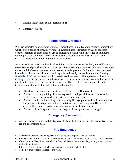- First aid kit locations at this jobsite include:
	- Company Vehicles

#### **Temperature Extremes**

Workers subjected to temperature extremes, radiant heat, humidity, or air velocity combinations which, over a period of time, may produce physical illness. Protection by use of adequate controls, methods or procedures, or use of protective clothing will be provided to employees working in these conditions. Excessive exposure to heat is referred to as heat stress and excessive exposure to cold is referred to as cold stress.

Heat related illness (HRI) and cold-induced illnesses (Hypothermia/frostbite) are well known, recognized workplace hazards. All work operations involving exposure to temperature extremes, either humidity/heat extremes or cold extremes have the potential for inducing heat stress and heat related illnesses or cold stress resulting in frostbite or hypothermia, therefore, **Coating Specialist, LLC** has developed a policy to address these issues. All employees will receive training relating to the causes and effects, as well as the personal and environmental factors that may lead to temperature extreme related illnesses. Each employee will be provided with training and materials that include but are not limited to:

- The chosen method or methods to assess the risk for HRI or cold stress.
- A section covering training elements to provide employees information on what the employer will do when working in extreme weather conditions.
- A section on first aid including how to identify HRI symptoms and cold stress systems. The proper first aid application for an individual that is suffering from HRI or cold weather illness, and procedures for summoning medical aid personnel.
- A section identifying where and how adequate drinking water will be supplied.

#### **Emergency Evacuation**

 An evacuation map for the worksite is posted. It shows the location of exits, fire extinguishers, first aid kits, and where to meet.

#### **Fire Emergency**

- A fire extinguisher or fire extinguishers will be covered as part of this orientation*.*
- If you discover a fire: Tell another person immediately. Call or have them call 911 and a supervisor.
- If the fire is small (such as a wastebasket fire) and there is minimal smoke, you may try to put it out with a fire extinguisher.
- If the fire grows or there is thick smoke, do not continue to fight the fire.
- Tell other employees in the area to evacuate.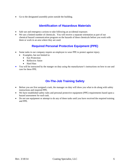Go to the designated assembly point outside the building.

#### **Identification of Hazardous Materials**

- Safe use and emergency actions to take following an accidental exposure.
- We use a limited number of chemicals. You will receive a separate orientation as part of our chemical hazard communication program on the hazards of these chemicals before you work with them or work in an area where they are used.

#### **Required Personal Protective Equipment (PPE)**

- Some tasks in our company require an employee to wear PPE to protect against injury.
	- Examples, but not limited to:
		- Eye Protection
		- Reflective Attire
		- Hard Hats
- You will be instructed by the manger on duty using the manufacturer's instructions on how to use and care for these PPE.

### **On-The-Job Training Safety**

- Before you are first assigned a task, the manager on duty will show you what to do along with safety instructions and required PPE.
- We have established safety rules and personal protective equipment (PPE) requirements based upon a hazard assessment for each task.
- Do not use equipment or attempt to do any of these tasks until you have received the required training and PPE.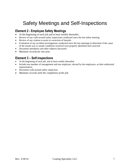# Safety Meetings and Self-Inspections

### **Element 2 - Employee Safety Meetings**

- At the beginning of each job and at least weekly thereafter.
- Review of any walk-around safety inspections conducted since the last safety meeting.
- Review of any citation to assist in correction of hazards.
- Evaluation of any accident investigations conducted since the last meetings to determine if the cause of the unsafe acts or unsafe conditions involved were properly identified and corrected.
- Document attendance and other subjects discussed.
- *Maintain records for one year.*

### **Element 3 – Self-inspections**

- At the beginning of each job, and at least weekly thereafter.
- Include one member of management and one employee, elected by the employees, as their authorized representative.
- Document walk-around safety inspection.
- *Maintain records until the completion of the job.*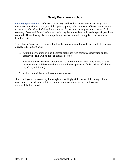### **Safety Disciplinary Policy**

**Coating Specialist, LLC** believes that a safety and health Accident Prevention Program is unenforceable without some type of disciplinary policy. Our company believes that in order to maintain a safe and healthful workplace, the employees must be cognizant and aware of all company, State, and Federal safety and health regulations as they apply to the specific job duties required. The following disciplinary policy is in effect and will be applied to all safety and health violations.

The following steps will be followed unless the seriousness of the violation would dictate going directly to Step 2 or Step 3.

- 1. A first time violation will be discussed orally between company supervision and the employee. This will be done as soon as possible.
- 2. A second time offense will be followed up in written form and a copy of this written documentation will be entered into the employee's personnel folder. Time off without pay (3 day minimum).
- 3. A third time violation will result in termination.

If an employee of this company knowingly and willingly violates any of the safety rules or procedures, or puts his/her self in an imminent danger situation, the employee will be immediately discharged.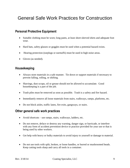# General Safe Work Practices for Construction

### **Personal Protective Equipment**

- Suitable clothing must be worn; long pants, at least short-sleeved shirts and adequate foot wear.
- Hard hats, safety glasses or goggles must be used when a potential hazard exists.
- Hearing protection (earplugs or earmuffs) must be used in high noise areas.
- Gloves (as needed).

#### **Housekeeping**

- Always store materials in a safe manner. Tie down or support materials if necessary to prevent falling, rolling, or shifting.
- Shavings, dust scraps, oil or grease should not be allowed to accumulate. Good housekeeping is a part of the job.
- Trash piles must be removed as soon as possible. Trash is a safety and fire hazard.
- Immediately remove all loose materials from stairs, walkways, ramps, platforms, etc.
- Do not block aisles, traffic lanes, fire exits, gangways, or stairs.

#### **Other general safe work practices**

- Avoid shortcuts use ramps, stairs, walkways, ladders, etc.
- Do not remove, deface or destroy any warning, danger sign, or barricade, or interfere with any form of accident prevention device or practice provided for your use or that is being used by other workers.
- Get help with heavy or bulky materials to avoid injury to yourself or damage to material.
- Do not use tools with split, broken, or loose handles, or burred or mushroomed heads. Keep cutting tools sharp and carry all tools in a container.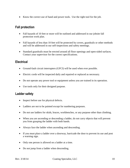Know the correct use of hand and power tools. Use the right tool for the job.

### **Fall protection**

- Fall hazards of 10 feet or more will be outlined and addressed in our jobsite fall protection work plan.
- Fall hazards of less than 10 feet will be protected by covers, guardrails or other methods and will be addressed in our self-inspections and safety meetings.
- Standard guardrails must be erected around all floor openings and open-sided surfaces. Contact your supervisor for the correct specifications.

### **Electrical**

- Ground-fault circuit interrupters (GFCI) will be used when ever possible.
- Electric cords will be inspected daily and repaired or replaced as necessary.
- Do not operate any power tool or equipment unless you are trained in its operation.
- Use tools only for their designed purpose.

### **Ladder safety**

- Inspect before use for physical defects.
- Ladders are not to be painted except for numbering purposes.
- Do not use ladders for skids, braces, workbenches, or any purpose other than climbing.
- When you are ascending or descending a ladder, do not carry objects that will prevent you from grasping the ladder with both hands.
- Always face the ladder when ascending and descending.
- If you must place a ladder over a doorway, barricade the door to prevent its use and post a warning sign.
- Only one person is allowed on a ladder at a time.
- Do not jump from a ladder when descending.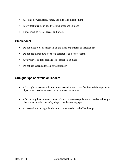- All joints between steps, rungs, and side rails must be tight.
- Safety feet must be in good working order and in place.
- Rungs must be free of grease and/or oil.

#### **Stepladders**

- Do not place tools or materials on the steps or platform of a stepladder
- Do not use the top two steps of a stepladder as a step or stand.
- Always level all four feet and lock spreaders in place.
- Do not use a stepladder as a straight ladder.

### **Straight type or extension ladders**

- All straight or extension ladders must extend at least three feet beyond the supporting object when used as an access to an elevated work area.
- After raising the extension portion of a two or more stage ladder to the desired height, check to ensure that the safety dogs or latches are engaged.
- All extension or straight ladders must be secured or tied off at the top.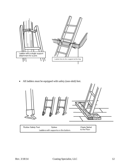

All ladders must be equipped with safety (non-skid) feet.



Rubber Safety Feet Spikes Cleats Nailed to the Floor Ladders with supports on the bottom.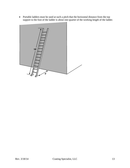• Portable ladders must be used at such a pitch that the horizontal distance from the top support to the foot of the ladder is about one-quarter of the working length of the ladder.

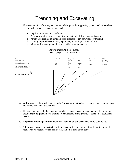# Trenching and Excavating

- 1. The determination of the angle of repose and design of the supporting system shall be based on careful evaluation of pertinent factors, such as:
	- a. Depth and/or cut/soils classification
	- b. Possible variation in water content of the material while excavation is open
	- c. Anticipated changes in materials from exposure to air, sun, water, or freezing
	- d. Loading imposed by structures, equipment, or overlaying or stored material
	- e. Vibration from equipment, blasting, traffic, or other sources



#### Approximate Angle of Repose

For sloping of sides of excavations

- 2. Walkways or bridges with standard railings **must be provided** when employees or equipment are required to cross over excavations.
- 3. The walls and faces of all excavations in which employees are exposed to danger from moving ground **must be guarded** by a shoring system, sloping of the ground, or some other equivalent means.
- 4. **No person must be permitted** under loads handled by power shovels, derricks, or hoists.
- 5. **All employees must be protected** with personal protective equipment for the protection of the head, eyes, respiratory system, hands, feet, and other parts of the body.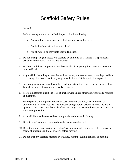# Scaffold Safety Rules

#### 1. General

Before starting work on a scaffold, inspect it for the following:

- a. Are guardrails, toeboards, and planking in place and secure?
- b. Are locking pins at each joint in place?
- c. Are all wheels on moveable scaffolds locked?
- 2. Do not attempt to gain access to a scaffold by climbing on it (unless it is specifically designed for climbing – always use a ladder.
- 3. Scaffolds and their components must be capable of supporting four times the maximum intended load.
- 4. Any scaffold, including accessories such as braces, brackets, trusses, screw legs, ladders, etc., damaged or weakened in any way, must be immediately repaired or replaced.
- 5. Scaffold planks must extend over their end supports not less than 6 inches or more than 12 inches, unless otherwise specifically required.
- 6. Scaffold platforms must be at least 18 inches wide unless otherwise specifically required or exempted.
- 7. Where persons are required to work or pass under the scaffold, scaffolds shall be provided with a screen between the toeboard and guardrail, extending along the entire opening. The screen must be made of No. 18 gauge U.S. Standard wire, ½ inch mesh or equivalent protection.
- 8. All scaffolds must be erected level and plumb, and on a solid footing.
- 9. Do not change or remove scaffold members unless authorized.
- 10. Do not allow workers to ride on a rolling scaffold when it is being moved. Remove or secure all materials and tools on deck before moving.
- 11. Do not alter any scaffold member by welding, burning, cutting, drilling, or bending.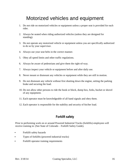# Motorized vehicles and equipment

- 1. Do not ride on motorized vehicles or equipment unless a proper seat is provided for each rider.
- 2. Always be seated when riding authorized vehicles (unless they are designed for standing).
- 3. Do not operate any motorized vehicle or equipment unless you are specifically authorized to do so by your supervisor.
- 4. Always use your seat belts in the correct manner.
- 5. Obey all speed limits and other traffic regulations.
- 6. Always be aware of pedestrians and give them the right-of-way.
- 7. Always inspect your vehicle or equipment before and after daily use.
- 8. Never mount or dismount any vehicles or equipment while they are still in motion.
- 9. Do not dismount any vehicle without first shutting down the engine, setting the parking brake and securing the load.
- 10. Do not allow other persons to ride the hook or block, dump box, forks, bucket or shovel of any equipment.
- 11. Each operator must be knowledgeable of all hand signals and obey them.
- 12. Each operator is responsible for the stability and security of his/her load.

### **Forklift safety**

Prior to performing work on or around Powered Industrial Trucks (forklifts) employees will receive training in: (See State of Colorado – Forklift Safety Guide).

- Forklift safety hazards
- Types of forklifts (powered industrial trucks)
- Forklift operator training requirements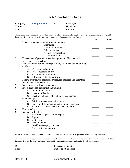### Job Orientation Guide

| Company: | <b>Coating Specialist, LLC</b> | Employee:  |
|----------|--------------------------------|------------|
| Trainer: |                                | Hire Date: |
| Date     |                                | Position:  |

This checklist is a guideline for conducting employee safety orientations for employees new to. Once completed and signed by both supervisor and employee, it serves as documentation that orientation has taken place. Date Initials

|    |                                                                    | Date | Initials |
|----|--------------------------------------------------------------------|------|----------|
| 1. | Explain the company safety program, including:                     |      |          |
|    | Orientation                                                        |      |          |
|    | On-the-job training                                                |      |          |
|    | Safety meetings                                                    |      |          |
|    | Accident investigation                                             |      |          |
|    | Disciplinary action                                                |      |          |
| 2. | Use and care of personal protective equipment, (Hard hat, fall     |      |          |
|    | protection, eye protection, etc.)                                  |      |          |
| 3. | Line of communication and responsibility for immediately reporting |      |          |
|    | accidents.                                                         |      |          |
|    | When to report an injury<br>A.                                     |      |          |
|    | B. How to report an injury                                         |      |          |
|    | C. Who to report an injury to                                      |      |          |
|    | D. Filling out accident report forms                               |      |          |
| 4. | General overview of operation, procedures, methods and hazards as  |      |          |
|    | they relate to the specific job                                    |      |          |
| 5. | Pertinent safety rules of the company                              |      |          |
| 6. | First aid supplies, equipment and training                         |      |          |
|    | Obtaining treatment<br>A.                                          |      |          |
|    | <b>Location of Facilities</b><br><b>B.</b>                         |      |          |
|    | C. Location and names of First-aid trained personnel               |      |          |
| 7. | Emergency plan                                                     |      |          |
|    | A. Exit location and evacuation routes                             |      |          |
|    | Use of fire fighting equipment (extinguishers, hose)<br><b>B.</b>  |      |          |
|    | Specific procedures (medical, chemical, etc.)<br>C.                |      |          |
| 8. | Vehicle safety                                                     |      |          |
| 9. | Personal work habits                                               |      |          |
|    | Serious consequences of horseplay<br>A.                            |      |          |
|    | <b>B.</b><br>Fighting                                              |      |          |
|    | Inattention<br>$\mathcal{C}$ .                                     |      |          |
|    | Smoking policy<br>D.                                               |      |          |
|    | Good housekeeping practices<br>E.                                  |      |          |
|    | Proper lifting techniques<br>F.                                    |      |          |
|    |                                                                    |      |          |

NOTE TO EMPLOYEES: Do not sign unless ALL items are covered and ALL questions are satisfactorily answered.

The signatures below document that the appropriate elements have been discussed to the satisfaction of both parties, and that both the supervisor and the employee accept responsibility for maintaining a safe and healthful work environment.

| Date: | Supervisor's Signature: |
|-------|-------------------------|
| Date  | Employee's Signature:   |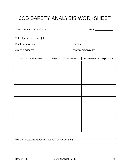# JOB SAFETY ANALYSIS WORKSHEET

| TITLE OF JOB OPERATION:     |                                                                   |
|-----------------------------|-------------------------------------------------------------------|
|                             |                                                                   |
|                             |                                                                   |
|                             |                                                                   |
| Sequence of hasic job steps | Recommended safe inh procedures<br>Potential accidents or hazards |

| sequence of pasic job steps | POTENTIAL ACCIDENTS OF HAZARDS | Recommended sale job procedures |
|-----------------------------|--------------------------------|---------------------------------|
|                             |                                |                                 |
|                             |                                |                                 |
|                             |                                |                                 |
|                             |                                |                                 |
|                             |                                |                                 |
|                             |                                |                                 |
|                             |                                |                                 |
|                             |                                |                                 |
|                             |                                |                                 |
|                             |                                |                                 |
|                             |                                |                                 |
|                             |                                |                                 |

| Personal protective equipment required for this position: |
|-----------------------------------------------------------|
|                                                           |
|                                                           |
|                                                           |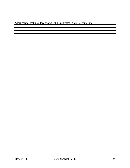Other hazards that may develop and will be addressed in our safety meetings: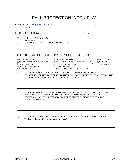## FALL PROTECTION WORK PLAN

| COMPANY: Coating Specialist, LLC                                 |                                                                                                             | DATE:          |
|------------------------------------------------------------------|-------------------------------------------------------------------------------------------------------------|----------------|
|                                                                  |                                                                                                             |                |
|                                                                  |                                                                                                             |                |
| 1)                                                               |                                                                                                             |                |
| 2)                                                               |                                                                                                             |                |
| 3)                                                               |                                                                                                             |                |
|                                                                  |                                                                                                             |                |
|                                                                  |                                                                                                             |                |
|                                                                  |                                                                                                             |                |
|                                                                  |                                                                                                             |                |
|                                                                  |                                                                                                             |                |
|                                                                  | CHECK THE METHOD OF FALL RESTRAINT OR ARREST TO BE UTILIZED:                                                |                |
|                                                                  |                                                                                                             |                |
|                                                                  |                                                                                                             | 慌 SCISSOR LIFT |
| 慌 SECURED TO EXISTING STRUCTURE                                  | 慌 STANDARD GUARDRAIL         慌 FULL BODY HARNESS<br>慌 TIE-OFF POINT CAPABLE OF 5000 LB/PERSON [慌 BOOM LIFT] |                |
|                                                                  |                                                                                                             |                |
| 慌 SCAFFOLD W/GUARDRAIL the the theory in the top of the SPECIFY) | 慌 SHOCK ABSORBING LANYARD      慌 RETRACTABLE LANYARD        慌 FORKLIFT BASKET                               |                |

4) DESCRIBE PROCEDURES FOR ASSEMBLY, MAINTENANCE, INSPECTION AND DIASSEMPLY OF THE SYSTEM (IF ADDITIONAL SPACE IS REQUIRED, COMPLETE ON THE BACK OR THIS FORM OR ATTACH A SEPARATE SHEET.)

<u> 1989 - Johann Stoff, amerikansk politiker (d. 1989)</u> <u> 1989 - Johann Stoff, deutscher Stoffen und der Stoffen und der Stoffen und der Stoffen und der Stoffen und de</u>

5) DESCRIBE PROCEDURES FOR HANDLING AND SECURING TOOLS, EQUIPMENT AND MATERIALS AND FOR PROVIDING OVERHEAD PROTECTION FOR WORKERS (IF ADDITIONAL SPACE IS REQUIRED, COMPLETE ON THE BACK OF THIS FORM OR SEPARATE SHEET):

6) DESCRIBE THE METHOD FOR PROMPT, SAFE REMOVAL OF INJURED WORKER(S): (Calling 911 is not sufficient as a means of rescue)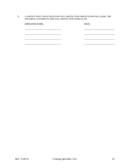7) I CERTIFY THAT I HAVE RECEIVED FALL PROTECTION ORIENTATION INCLUDING THE MATERIAL COVERED IN THIS FALL PROTECTION WORK PLAN.

| <b>EMPLOYEE NAME:</b> | DATE: |
|-----------------------|-------|
|                       |       |
|                       |       |
|                       |       |
|                       |       |
|                       |       |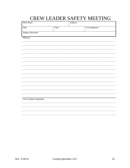# CREW LEADER SAFETY MEETING

| Firm Name             |      | Address |                |  |
|-----------------------|------|---------|----------------|--|
| Date                  | Time |         | # of employees |  |
| Subject discussed     |      |         |                |  |
| Minutes:              |      |         |                |  |
|                       |      |         |                |  |
|                       |      |         |                |  |
|                       |      |         |                |  |
|                       |      |         |                |  |
|                       |      |         |                |  |
|                       |      |         |                |  |
|                       |      |         |                |  |
|                       |      |         |                |  |
|                       |      |         |                |  |
|                       |      |         |                |  |
|                       |      |         |                |  |
| Crew Leader Comments: |      |         |                |  |
|                       |      |         |                |  |
|                       |      |         |                |  |
|                       |      |         |                |  |
|                       |      |         |                |  |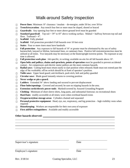### Walk-around Safety Inspection

- **Power lines**: Minimum 10' clearance / insulate de-energize, under 50 kw; over 50 kw
- **Trench/excavation**: Any trench four feet or more must be sloped, shored or braced
- **Guardrails**: Any opening four feet or more above ground level must be guarded
- **Standard guardrail**: Top rail = 39" to 45" above working surface. Midrail = halfway between top rail and floor. Toeboard  $= 4$ ".
- **Scaffold**: Fully planked
- □ **Scaffold**: Fall protection provided if fall hazards over 10 feet exist
- **Stairs**: Four or more risers must have handrails
- **Fall protection**: Any exposure to fall hazards of 10' or greater must be eliminated by the use of safety harness/belt, lanyard or lifeline, horizontal lines, or cantenary lines. Positive fall restraint/protection must be utilized at all times. Two lanyards may be necessary at the beam/upright traverse points. No exposure at any time is allowed.
- **Fall protection work plan**: Job specific, in writing; available on-site for all fall hazards above 10'.
- **Open belts and pulleys, chains and sprockets, points of operation** must be guarded to prevent accidental contact. Air compressors and electric motor pulleys are the most common hazards.
- **Radial saws**: Cutting head must return easily to start position when released; blade must not extend past the edge of the worktable; off/on switch should be at front of operator's position.
- **Table saws**: Upper hood guard; anti-kickback, push stick, belt and pulley guarded
- **Circular saws**: Blade guard instantly returns to covering position
- **Never wedge or pin a guard.**
- **Ladders**: Extended 36" above landing and secured to prevent displacement
- **Floor holes/openings:** Covered and secured; be sure no tripping hazards in the area.
- **Extension cords/electric power tools**: Marked/covered by Assured Grounding Program
- □ **Clothing**: Minimum of short sleeve shirts, long pants, and substantial footwear; no recreational shoes
- $\Box$  **Hard hats**: readily accessible at all times; worn when overhead hazard exists
- **Oxygen/acetylene storage areas**: Cylinders chained and separated
- **Personal protective equipment**: Head, eye, ear, respiratory, and leg protection high visibility vests when required
- **Housekeeping**: Workers are responsible for their own area of exposure
- **First aid/fire extinguishers**: Available and readily accessible

#### **Other hazards observed:**

| Supervisor's signature | Date |
|------------------------|------|
|                        |      |

Employee's signature Date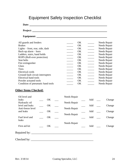## Equipment Safety Inspection Checklist

| All guards and fenders            | OK        |                          | Needs Repair |
|-----------------------------------|-----------|--------------------------|--------------|
| <b>Brakes</b>                     | OK        | $\frac{1}{2}$            | Needs Repair |
| Lights – front, rear, side, dash  | OK        | $\overline{\phantom{a}}$ | Needs Repair |
| Back-up alarm - horn              | OK        |                          | Needs Repair |
| Ladders, stairs, hand holds       | OK        | $\overline{\phantom{a}}$ | Needs Repair |
| ROPS (Roll-over protection)       | <b>OK</b> | $\frac{1}{1}$            | Needs Repair |
| Seat belts                        | OK        |                          | Needs Repair |
| Fire extinguisher                 | OK        | $\frac{1}{1}$            | Needs Repair |
| Glass                             | <b>OK</b> | $\frac{1}{1}$            | Needs Repair |
| Tires                             | OK        | $\overline{\phantom{a}}$ | Needs Repair |
| <b>Electrical cords</b>           | OK        | $\overline{\phantom{a}}$ | Needs Repair |
| Ground fault circuit interrupters | OK        | $\mathcal{L}$            | Needs Repair |
| <b>Electrical hand tools</b>      | OK        | $\overline{\phantom{a}}$ | Needs Repair |
| Powder actuated tools             | OK        | $\overline{\phantom{a}}$ | Needs Repair |
| Condition of pneumatic hand tools | OK        |                          | Needs Repair |

### **Other Items Checked:**

| Oil level and     |    | Needs Repair |     |        |
|-------------------|----|--------------|-----|--------|
| leaks             | OK |              | Add | Change |
| Hydraulic oil     |    | Needs Repair |     |        |
| level and leaks   | OK |              | Add | Change |
| Anti-freeze level |    | Needs Repair |     |        |
| and leaks         | OK |              | Add | Change |
|                   |    | Needs Repair |     |        |
| Fuel level and    | OK |              | Add | Change |
| leaks             |    |              |     |        |
|                   |    | Needs Repair |     |        |
| First aid kit     | OK |              | Add | Change |
|                   |    |              |     |        |
|                   |    |              |     |        |
|                   |    |              |     |        |
| Checked by:       |    |              |     |        |
|                   |    |              |     |        |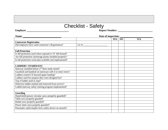# Checklist - Safety

**Employer Report Number:** 

| Name:                                                         | Date of inspection: |            |           |     |
|---------------------------------------------------------------|---------------------|------------|-----------|-----|
|                                                               |                     | <b>YES</b> | <b>NO</b> | N/A |
| <b>Contractor Registration</b>                                |                     |            |           |     |
| Did employer have valid contractor's Registration?            | Lic $#$ :           |            |           |     |
|                                                               |                     |            |           |     |
| <b>Fall Protection</b>                                        |                     |            |           |     |
| Is fall protection used when exposed to 10' fall hazard?      |                     |            |           |     |
| Are fall protection anchorage points installed properly?      |                     |            |           |     |
| Is fall protection work plan available and implemented?       |                     |            |           |     |
|                                                               |                     |            |           |     |
| <b>LADDERS / STAIRWAYS</b>                                    |                     |            |           |     |
| Stairway installed before 2 <sup>nd</sup> floor studs raised? |                     |            |           |     |
| Guardrail and handrail on stairways with 4 or more risers?    |                     |            |           |     |
| Ladders extend 3 ft beyond upper landing?                     |                     |            |           |     |
| Ladders used for purpose they were designed for?              |                     |            |           |     |
| Top of ladder used as step?                                   |                     |            |           |     |
| Defective ladder marked and removed from service?             |                     |            |           |     |
| Ladder/stairway safety training program implemented?          |                     |            |           |     |
|                                                               |                     |            |           |     |
| <b>Guarding</b>                                               |                     |            |           |     |
| Hand-held power circular saws properly guarded?               |                     |            |           |     |
| Table saws properly guarded?                                  |                     |            |           |     |
| Radial saws properly guarded?                                 |                     |            |           |     |
| Power miter saws properly guarded?                            |                     |            |           |     |
| Pneumatic nailer/stapler have safety device on muzzle?        |                     |            |           |     |
|                                                               |                     |            |           |     |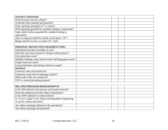| <b>Structure Construction</b>                               |  |  |
|-------------------------------------------------------------|--|--|
| Walls braced to prevent collapse?                           |  |  |
| Scaffolds fully planked and guarded?                        |  |  |
| Floor openings guarded (12" or more)?                       |  |  |
| Wall openings guarded by standard railing or equivalent?    |  |  |
| Open sided surfaces guarded by standard railing or          |  |  |
| equivalent?                                                 |  |  |
| Stair or ramp provided for break in elevation >19"?         |  |  |
| Ramp used for access is at least 18" wide?                  |  |  |
|                                                             |  |  |
| PERSONAL PROTECTIVE EQUIPMENT (PPE)                         |  |  |
| Individual hard hats available on site?                     |  |  |
| Hard hats used when exposed to flying or falling objects?   |  |  |
| Eye protection worn?                                        |  |  |
| Suitable clothing -short sleeved shirt and long pants worn? |  |  |
| Proper footwear worn?                                       |  |  |
| Is leg protection used during chainsaw usage?               |  |  |
| <b>Electrical</b>                                           |  |  |
| Extension cords with ground pin?                            |  |  |
| Extension cords free of improper splices?                   |  |  |
| Multi-outlet J-Box are waterproof?                          |  |  |
| GFCI or assured grounding program?                          |  |  |
|                                                             |  |  |
| RELATED PROGRAM REQUIREMENTS                                |  |  |
| Is the APP tailored to the business and hazards involved?   |  |  |
| Does the employer provide safety orientations?              |  |  |
| Is the APP outlined in written format?                      |  |  |
| Is a Crew Leader-Crew Safety meeting held at beginning      |  |  |
| of job & weekly thereafter?                                 |  |  |
| Are safety meetings tailored to the operations?             |  |  |
| Are safety meetings documented?                             |  |  |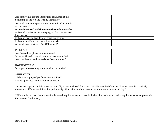| Are safety walk-around inspections conducted at the         |  |  |
|-------------------------------------------------------------|--|--|
| beginning of the job and weekly thereafter?                 |  |  |
| Are walk-around inspections documented and available        |  |  |
| for inspection?                                             |  |  |
| Do employees work with hazardous chemicals/materials?       |  |  |
| Is there a hazard communication program that is written and |  |  |
| implemented?                                                |  |  |
| Is there a Chemical Inventory for chemicals on-site?        |  |  |
| Is there an MSDS for each hazardous product?                |  |  |
| Are employees provided HAZCOM training?                     |  |  |
|                                                             |  |  |
| <b>FIRST-AID</b>                                            |  |  |
| Are first-aid supplies available on-site?                   |  |  |
| Is there a first-aid trained person or persons on site?     |  |  |
| Are crew leaders and supervisors first aid trained?         |  |  |
|                                                             |  |  |
| <b>HOUSEKEEPING</b>                                         |  |  |
| Is proper housekeeping maintained at the jobsite?           |  |  |
|                                                             |  |  |
| <b>SANITATION</b>                                           |  |  |
| *Adequate supply of potable water provided?                 |  |  |
| *Toilets provided and maintained at jobsite?                |  |  |

\* Does not apply to mobile crews or normally unattended work locations. Mobile crew is defined as "A work crew that routinely moves to a different work location periodically. Normally a mobile crew is not at the same location all day."

\*This emphasis checklist outlines fundamental requirements and is not inclusive of all safety and health requirements for employers in the construction industry.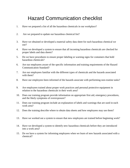# Hazard Communication checklist

- 1. Have we prepared a list of all the hazardous chemicals in our workplace?
- 2. Are we prepared to update our hazardous chemical list?
- 3. Have we obtained or developed a material safety data sheet for each hazardous chemical we use?
- 4. Have we developed a system to ensure that all incoming hazardous chemicals are checked for proper labels and data sheets?
- 5. Do we have procedures to ensure proper labeling or warning signs for containers that hold hazardous chemicals?
- 6. Are our employees aware of the specific information and training requirements of the Hazard Communication Standard?
- 7. Are our employees familiar with the different types of chemicals and the hazards associated with them?
- 8. Have our employees been informed of the hazards associate with performing non-routine tasks?
- 9. Are employees trained about proper work practices and personal protective equipment in relation to the hazardous chemicals in their work area?
- 10. Does our training program provide information on appropriate first aid, emergency procedures, and the likely symptoms of overexposure?
- 11. Does our training program include an explanation of labels and warnings that are used in each work area?
- 12. Does the training describe where to obtain data sheets and how employees may use them?
- 13. Have we worked out a system to ensure that new employees are trained before beginning work?
- 14. Have we developed a system to identify new hazardous chemicals before they are introduced into a work area?
- 15. Do we have a system for informing employees when we learn of new hazards associated with a chemical?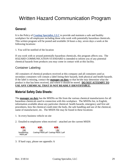# Written Hazard Communication Program

### **General:**

It is the Policy of **Coating Specialist, LLC** to provide and maintain a safe and healthy workplace for all employees including those who work with potentially hazardous chemicals. This written program will be posted and available 24 hours a day, seven days a week at the following locations:

1. You will be notified of the location

If you work with or around potentially hazardous chemicals, this program affects you. The HAZARD COMMUNICATION STANDARD is intended to inform you of any potential chemical hazards from products you may come in contact with at this facility.

#### Container Labeling:

All containers of chemical products received at this company and all containers used as secondary containers will contain a label listing their hazards, both physical and health hazards. If the label is missing, contact the **manager on duty** so that he/she may determine what the product is that has been received, and where it should be stored. **DO NOT ATTEMPT TO USE ANY CHEMICAL THAT IS NOT READILY IDENTIFIABLE.**

### **Material Safety Data Sheets:**

The **manager on duty** has the MSDSs on file from the various chemical manufacturers for all hazardous chemicals used in connection with this workplace. The MSDSs list, in English, information available about any particular chemical: health hazards, emergency and first aid procedures, how the chemical could enter the body, the safe handling and use of the chemical, name of manufacturer, etc. The MSDS file may be found in these locations:

- 1. In every business vehicle on site
- 2. Emailed to employees when received attached are the current MSDS



3. If hard copy, please see appendix A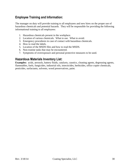### **Employee Training and Information:**

The manager on duty will provide training to all employees and new hires on the proper use of hazardous chemicals and potential hazards. They will be responsible for providing the following informational training to all employees:

- 1. Hazardous chemicals present in the workplace.
- 2. Location of various chemicals. What to use. What to avoid.
- 3. Emergency procedures in case of contact with hazardous chemicals.
- 4. How to read the labels.
- 5. Location of the MSDS files and how to read the MSDS.
- 6. Non-routine tasks that may be encountered.
- 7. Symptoms of overexposure and personal protective measures to be used.

#### **Hazardous Materials Inventory List:**

**Examples:** acids, aerosols, battery fluids, catalysts, caustics, cleaning agents, degreasing agents, flammables, fuels, fungicides, industrial oils, insecticides, herbicides, office copier chemicals, pesticides, surfactants, solvents, wood preservatives, paint.